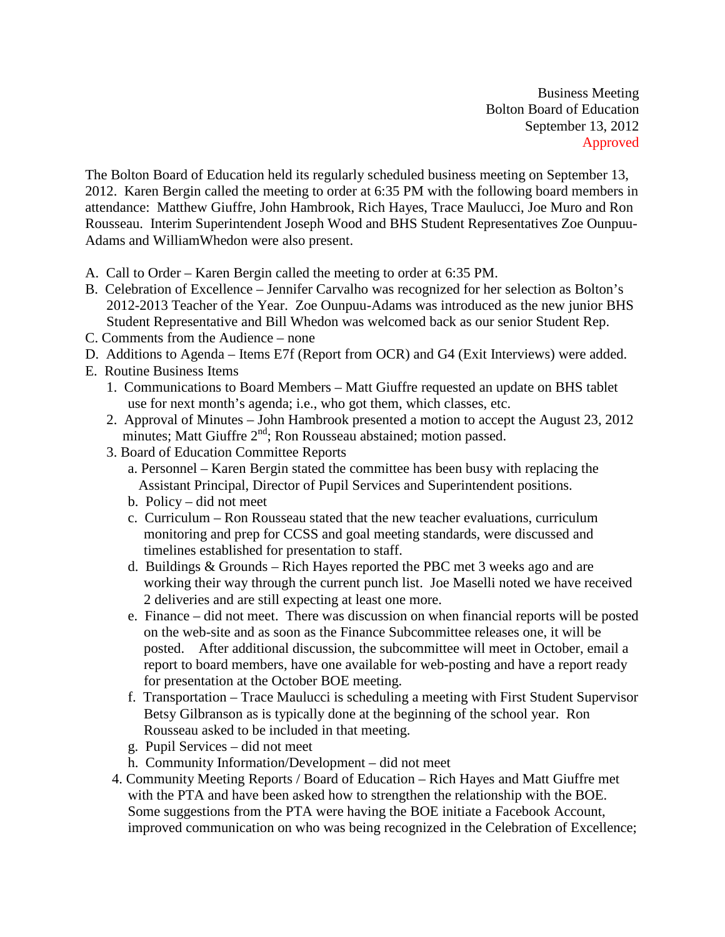Business Meeting Bolton Board of Education September 13, 2012 Approved

The Bolton Board of Education held its regularly scheduled business meeting on September 13, 2012. Karen Bergin called the meeting to order at 6:35 PM with the following board members in attendance: Matthew Giuffre, John Hambrook, Rich Hayes, Trace Maulucci, Joe Muro and Ron Rousseau. Interim Superintendent Joseph Wood and BHS Student Representatives Zoe Ounpuu-Adams and WilliamWhedon were also present.

- A. Call to Order Karen Bergin called the meeting to order at 6:35 PM.
- B. Celebration of Excellence Jennifer Carvalho was recognized for her selection as Bolton's 2012-2013 Teacher of the Year. Zoe Ounpuu-Adams was introduced as the new junior BHS Student Representative and Bill Whedon was welcomed back as our senior Student Rep.
- C. Comments from the Audience none
- D. Additions to Agenda Items E7f (Report from OCR) and G4 (Exit Interviews) were added.
- E. Routine Business Items
	- 1. Communications to Board Members Matt Giuffre requested an update on BHS tablet use for next month's agenda; i.e., who got them, which classes, etc.
	- 2. Approval of Minutes John Hambrook presented a motion to accept the August 23, 2012 minutes; Matt Giuffre  $2<sup>nd</sup>$ ; Ron Rousseau abstained; motion passed.
	- 3. Board of Education Committee Reports
		- a. Personnel Karen Bergin stated the committee has been busy with replacing the Assistant Principal, Director of Pupil Services and Superintendent positions.
		- b. Policy did not meet
		- c. Curriculum Ron Rousseau stated that the new teacher evaluations, curriculum monitoring and prep for CCSS and goal meeting standards, were discussed and timelines established for presentation to staff.
		- d. Buildings & Grounds Rich Hayes reported the PBC met 3 weeks ago and are working their way through the current punch list. Joe Maselli noted we have received 2 deliveries and are still expecting at least one more.
		- e. Finance did not meet. There was discussion on when financial reports will be posted on the web-site and as soon as the Finance Subcommittee releases one, it will be posted. After additional discussion, the subcommittee will meet in October, email a report to board members, have one available for web-posting and have a report ready for presentation at the October BOE meeting.
		- f. Transportation Trace Maulucci is scheduling a meeting with First Student Supervisor Betsy Gilbranson as is typically done at the beginning of the school year. Ron Rousseau asked to be included in that meeting.
		- g. Pupil Services did not meet
		- h. Community Information/Development did not meet
	- 4. Community Meeting Reports / Board of Education Rich Hayes and Matt Giuffre met with the PTA and have been asked how to strengthen the relationship with the BOE. Some suggestions from the PTA were having the BOE initiate a Facebook Account, improved communication on who was being recognized in the Celebration of Excellence;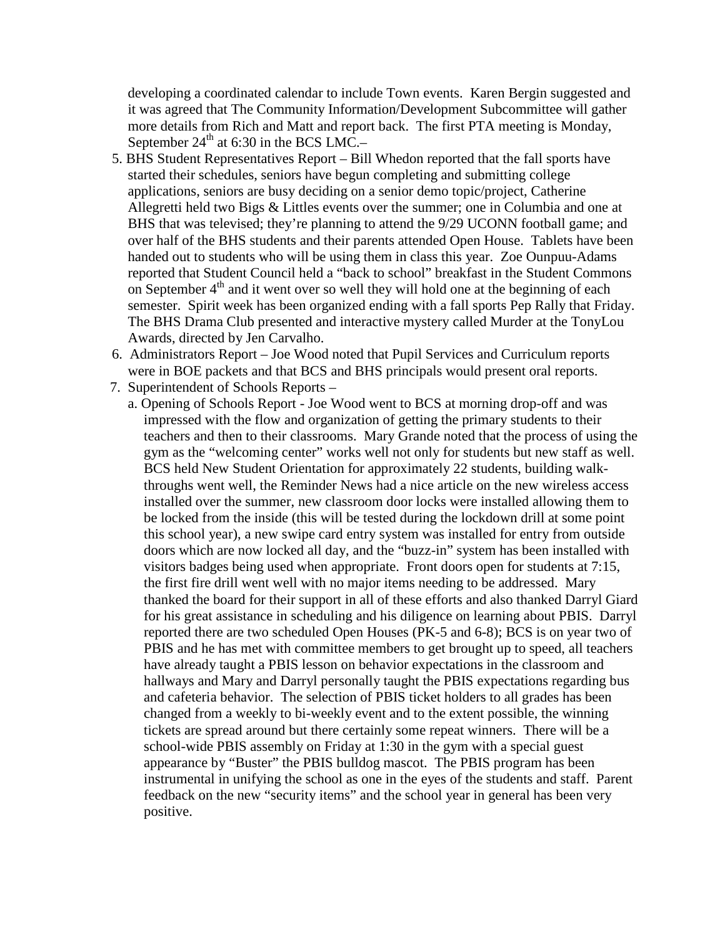developing a coordinated calendar to include Town events. Karen Bergin suggested and it was agreed that The Community Information/Development Subcommittee will gather more details from Rich and Matt and report back. The first PTA meeting is Monday, September  $24^{th}$  at 6:30 in the BCS LMC.-

- 5. BHS Student Representatives Report Bill Whedon reported that the fall sports have started their schedules, seniors have begun completing and submitting college applications, seniors are busy deciding on a senior demo topic/project, Catherine Allegretti held two Bigs & Littles events over the summer; one in Columbia and one at BHS that was televised; they're planning to attend the 9/29 UCONN football game; and over half of the BHS students and their parents attended Open House. Tablets have been handed out to students who will be using them in class this year. Zoe Ounpuu-Adams reported that Student Council held a "back to school" breakfast in the Student Commons on September  $4<sup>th</sup>$  and it went over so well they will hold one at the beginning of each semester. Spirit week has been organized ending with a fall sports Pep Rally that Friday. The BHS Drama Club presented and interactive mystery called Murder at the TonyLou Awards, directed by Jen Carvalho.
- 6. Administrators Report Joe Wood noted that Pupil Services and Curriculum reports were in BOE packets and that BCS and BHS principals would present oral reports.
- 7. Superintendent of Schools Reports
	- a. Opening of Schools Report Joe Wood went to BCS at morning drop-off and was impressed with the flow and organization of getting the primary students to their teachers and then to their classrooms. Mary Grande noted that the process of using the gym as the "welcoming center" works well not only for students but new staff as well. BCS held New Student Orientation for approximately 22 students, building walkthroughs went well, the Reminder News had a nice article on the new wireless access installed over the summer, new classroom door locks were installed allowing them to be locked from the inside (this will be tested during the lockdown drill at some point this school year), a new swipe card entry system was installed for entry from outside doors which are now locked all day, and the "buzz-in" system has been installed with visitors badges being used when appropriate. Front doors open for students at 7:15, the first fire drill went well with no major items needing to be addressed. Mary thanked the board for their support in all of these efforts and also thanked Darryl Giard for his great assistance in scheduling and his diligence on learning about PBIS. Darryl reported there are two scheduled Open Houses (PK-5 and 6-8); BCS is on year two of PBIS and he has met with committee members to get brought up to speed, all teachers have already taught a PBIS lesson on behavior expectations in the classroom and hallways and Mary and Darryl personally taught the PBIS expectations regarding bus and cafeteria behavior. The selection of PBIS ticket holders to all grades has been changed from a weekly to bi-weekly event and to the extent possible, the winning tickets are spread around but there certainly some repeat winners. There will be a school-wide PBIS assembly on Friday at 1:30 in the gym with a special guest appearance by "Buster" the PBIS bulldog mascot. The PBIS program has been instrumental in unifying the school as one in the eyes of the students and staff. Parent feedback on the new "security items" and the school year in general has been very positive.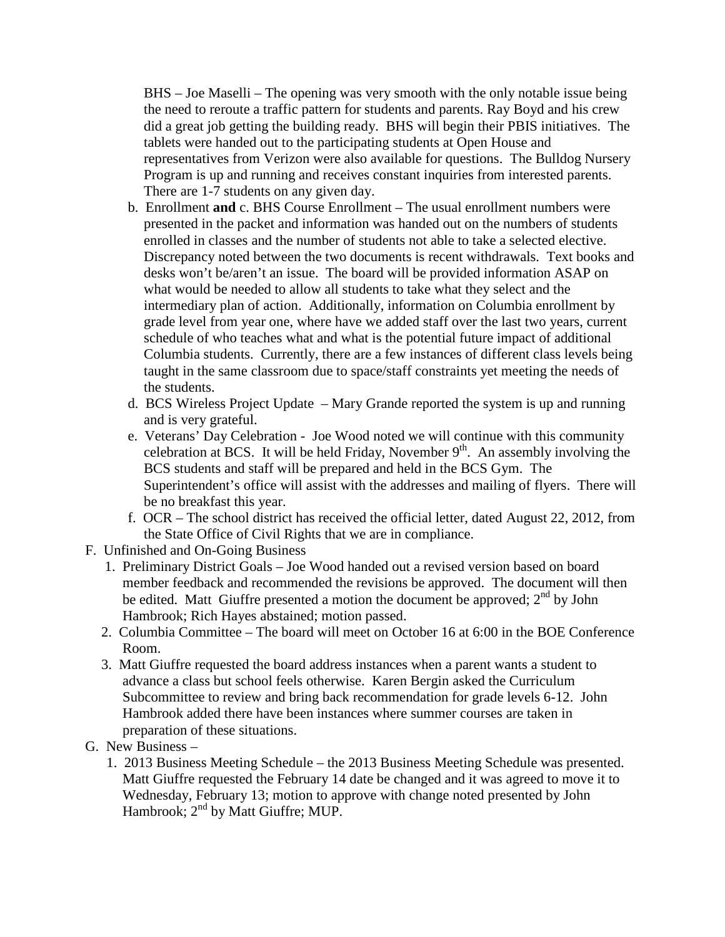BHS – Joe Maselli – The opening was very smooth with the only notable issue being the need to reroute a traffic pattern for students and parents. Ray Boyd and his crew did a great job getting the building ready. BHS will begin their PBIS initiatives. The tablets were handed out to the participating students at Open House and representatives from Verizon were also available for questions. The Bulldog Nursery Program is up and running and receives constant inquiries from interested parents. There are 1-7 students on any given day.

- b. Enrollment **and** c. BHS Course Enrollment The usual enrollment numbers were presented in the packet and information was handed out on the numbers of students enrolled in classes and the number of students not able to take a selected elective. Discrepancy noted between the two documents is recent withdrawals. Text books and desks won't be/aren't an issue. The board will be provided information ASAP on what would be needed to allow all students to take what they select and the intermediary plan of action. Additionally, information on Columbia enrollment by grade level from year one, where have we added staff over the last two years, current schedule of who teaches what and what is the potential future impact of additional Columbia students. Currently, there are a few instances of different class levels being taught in the same classroom due to space/staff constraints yet meeting the needs of the students.
- d. BCS Wireless Project Update Mary Grande reported the system is up and running and is very grateful.
- e. Veterans' Day Celebration Joe Wood noted we will continue with this community celebration at BCS. It will be held Friday, November  $9<sup>th</sup>$ . An assembly involving the BCS students and staff will be prepared and held in the BCS Gym. The Superintendent's office will assist with the addresses and mailing of flyers. There will be no breakfast this year.
- f. OCR The school district has received the official letter, dated August 22, 2012, from the State Office of Civil Rights that we are in compliance.
- F. Unfinished and On-Going Business
	- 1. Preliminary District Goals Joe Wood handed out a revised version based on board member feedback and recommended the revisions be approved. The document will then be edited. Matt Giuffre presented a motion the document be approved;  $2<sup>nd</sup>$  by John Hambrook; Rich Hayes abstained; motion passed.
	- 2. Columbia Committee The board will meet on October 16 at 6:00 in the BOE Conference Room.
	- 3. Matt Giuffre requested the board address instances when a parent wants a student to advance a class but school feels otherwise. Karen Bergin asked the Curriculum Subcommittee to review and bring back recommendation for grade levels 6-12. John Hambrook added there have been instances where summer courses are taken in preparation of these situations.
- G. New Business
	- 1. 2013 Business Meeting Schedule the 2013 Business Meeting Schedule was presented. Matt Giuffre requested the February 14 date be changed and it was agreed to move it to Wednesday, February 13; motion to approve with change noted presented by John Hambrook; 2<sup>nd</sup> by Matt Giuffre; MUP.